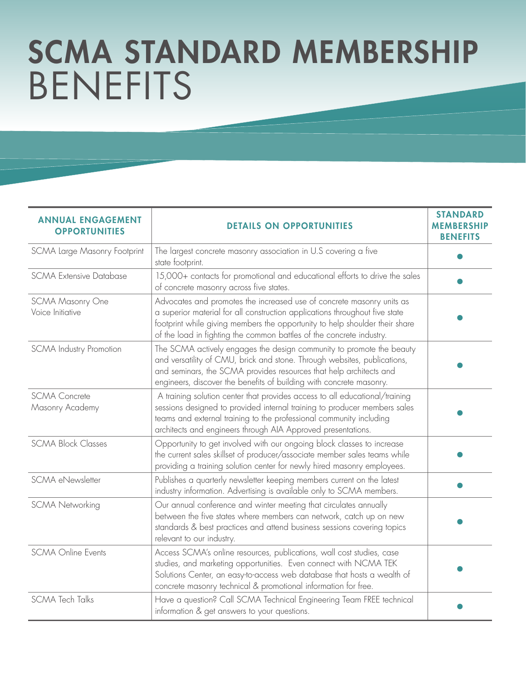## SCMA STANDARD MEMBERSHIP BENEFITS

| <b>ANNUAL ENGAGEMENT</b><br><b>OPPORTUNITIES</b> | <b>DETAILS ON OPPORTUNITIES</b>                                                                                                                                                                                                                                                                             | <b>STANDARD</b><br><b>MEMBERSHIP</b><br><b>BENEFITS</b> |
|--------------------------------------------------|-------------------------------------------------------------------------------------------------------------------------------------------------------------------------------------------------------------------------------------------------------------------------------------------------------------|---------------------------------------------------------|
| SCMA Large Masonry Footprint                     | The largest concrete masonry association in U.S covering a five<br>state footprint.                                                                                                                                                                                                                         |                                                         |
| <b>SCMA Extensive Database</b>                   | 15,000+ contacts for promotional and educational efforts to drive the sales<br>of concrete masonry across five states.                                                                                                                                                                                      |                                                         |
| SCMA Masonry One<br>Voice Initiative             | Advocates and promotes the increased use of concrete masonry units as<br>a superior material for all construction applications throughout five state<br>footprint while giving members the opportunity to help shoulder their share<br>of the load in fighting the common battles of the concrete industry. |                                                         |
| SCMA Industry Promotion                          | The SCMA actively engages the design community to promote the beauty<br>and versatility of CMU, brick and stone. Through websites, publications,<br>and seminars, the SCMA provides resources that help architects and<br>engineers, discover the benefits of building with concrete masonry.               |                                                         |
| <b>SCMA Concrete</b><br>Masonry Academy          | A training solution center that provides access to all educational/training<br>sessions designed to provided internal training to producer members sales<br>teams and external training to the professional community including<br>architects and engineers through AIA Approved presentations.             |                                                         |
| <b>SCMA Block Classes</b>                        | Opportunity to get involved with our ongoing block classes to increase<br>the current sales skillset of producer/associate member sales teams while<br>providing a training solution center for newly hired masonry employees.                                                                              |                                                         |
| SCMA eNewsletter                                 | Publishes a quarterly newsletter keeping members current on the latest<br>industry information. Advertising is available only to SCMA members.                                                                                                                                                              |                                                         |
| <b>SCMA Networking</b>                           | Our annual conference and winter meeting that circulates annually<br>between the five states where members can network, catch up on new<br>standards & best practices and attend business sessions covering topics<br>relevant to our industry.                                                             |                                                         |
| <b>SCMA Online Events</b>                        | Access SCMA's online resources, publications, wall cost studies, case<br>studies, and marketing opportunities. Even connect with NCMA TEK<br>Solutions Center, an easy-to-access web database that hosts a wealth of<br>concrete masonry technical & promotional information for free.                      |                                                         |
| <b>SCMA Tech Talks</b>                           | Have a question? Call SCMA Technical Engineering Team FREE technical<br>information & get answers to your questions.                                                                                                                                                                                        |                                                         |